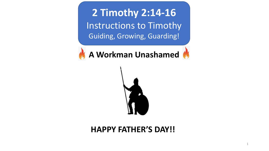**2 Timothy 2:14-16** Instructions to Timothy Guiding, Growing, Guarding!

**A Workman Unashamed** 



## **HAPPY FATHER'S DAY!!**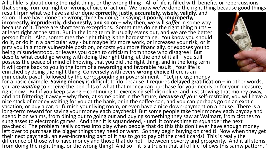All of life is about doing the right thing, or the wrong thing! All of life is filled with benefits or repercussions that spring from our right or wrong choice of action. We know we've done the right thing because good things result from what we have said or done **correctly, justly, accurately, wisely, validly,** and so on. If we have done the wrong thing by doing or saying it **poorly, improperly,**<br>**incorrectly, imprudently, dishonestly, and so on** – why then, we will **suffer** in some way because of it. There are short term exceptions. Sometimes doing the right thing hurts -<br>at least right at the start. But in the long term it usually evens out, and we are the better person for it. Also, sometimes the right thing is the hardest thing. You know you should do it, or do it in a particular way - but maybe it's more work, or increases your risk, or it<br>puts you in a more vulnerable position, or costs you more financially, or exposes you to

being misunderstood, or leaves you open to criticism from those who disagree! But

despite what could go wrong with doing the right thing, at the end of it all – you still possess the peace of mind of knowing that you did the right thing, and in the long term

it will come back to you in the form of a rewarding and favorable result! Your life is enriched by doing the right thing. Conversely with every **wrong choice** there is an immediate payoff followed by the corresponding impoverishment! \*Let me use money for a basic example. **Saving money** is difficult to do because it requires **delayed gratification** – in other words, you are **waiting** to receive the benefits of what that money can purchase for your needs or for your pleasure, right now! But if you keep saving – continuing to exercising self-discipline, and just stowing that money away, long-term reward for saving your money each paycheck! But some people take their money each payday and<br>spend it on whims, from dining out to going out and buying something they saw at Walmart, from clothes to<br>sunglasses to paycheck! The problem really comes into play when people that do this this don't ever have enough money left over to purchase the bigger things they need or want. So they begin buying on credit! Now when they get<br>their next paycheck, an ever-increasing part of it has to go to pay off the credit cards! This is really the difference of those who have money and those that do not – between poverty and prosperity. And it all stems<br>from doing the right thing, or the wrong thing! And so – it is a truism that all of life follows this samw patter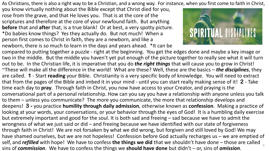As Christians, there is also a right way to be a Christian, and a wrong way. For instance, when you first come to faith in Christ,

you know virtually nothing about the Bible except that Christ died for you, rose from the grave, and that He loves you. That is at the core of the scriptures and therefore at the core of your newfound faith. But anything **before** that and **after** that, is a true blank! Or at best, a very spotty picture. \*Do babies know things? Yes they actually do. But not much! When a person first comes to Christ in faith, they are a newborn, and like a newborn, there is so much to learn in the days and years ahead. \*It can be



compared to putting together a puzzle - right at the beginning. You get the edges done and maybe a key image or two in the middle. But the middle you haven't yet put enough of the picture together to really see what it will turn out to be. In the Christian life, it is imperative that you do *the right things* that will cause you to grow in Christ! ~These will make all the difference in the world! What are these? Well, these are the basics – *the disciplines*, they are called. **1** - Start **reading** your Bible. Christianity is a very specific body of knowledge. You will need to extract that from the pages of the Bible and imbed it in your mind - until you can start really making sense of it! **2** - Take time each day to **pray**. Through faith in Christ, you now have access to your Creator, and praying is the conversational part of a personal relationship. How can you say you have a relationship with anyone unless you talk to them – unless you communicate? The more you communicate, the more that relationship develops and deepens! **3 -** you practice **humility through daily admission**, otherwise known as **confession**. Making a practice of looking at your words, your conversations, or your behavior through the eyes of God! It is a humbling daily exercise but extremely important and good for the soul. It is both sad and freeing – sad because we have to admit the wrongness of what we just said or did – and freeing because we have identified with our state of forgiveness through faith in Christ! We are not forsaken by what we did wrong, but forgiven and still loved by God! We may have shamed ourselves, but we are not hopeless! Confession before God actually recharges us – we are emptied of self, and *refilled* with hope! We have to confess **the things we did** that we shouldn't have done – those are called sins of *commission*. We have to confess the things we **should have done** but didn't – or, sins of *omission*. <sup>3</sup>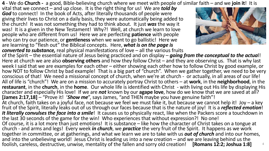**4** - We do **Church -** a good, Bible-believing church where we meet with people of similar faith – and we **join it**! It is

vital that we connect – and up close. It is the right thing for us! We are *told by God* to connect! In the book of Acts, after literally thousands of people were giving their lives to Christ on a daily basis, they were automatically being added to the church! It was not something they had to think about. It just *was* the way it was! It is a given in the New Testament! Why?! Well, at church we learn to love people who are different from us! Here we are perfecting **patience** with people who can try our patience, or **gentleness** when we want to go ballistic! Here we are learning to "flesh out" the Biblical concepts. Here, *what is on the page is* 



*converted to substance,* real physical manifestations of love – all the various fruits of the Spirit – the essential nature of Jesus being practiced and on display – *going from the conceptual to the actua*l! Here at church we are also **observing others** and how they follow Christ – and they are observing us. That is why last week I said that we are examples for each other – either showing each other how to follow Christ by good example, or how NOT to follow Christ by bad example! That is a big part of "church". When we gather together, we need to be very conscious of that! We need a missional concept of church, when we're at church - or actually, in all areas of our life! All of life is "church"! We are on a mission to accurately portray Christ to others – at **work**, in the **neighborhood**, in the **restaurant**, in the **church**, in the **home**. Our whole life is identified with Christ - with living out His life by displaying His character and especially His love! If we are *not* known by our **agape love**, how do we know that we are saved at all? **[James 2:17,18]** – "Prove it! '*Show me*", says James, "and THEN maybe you have genuine faith"! At church, faith takes on a joyful face, not because we feel we must fake it, but because we cannot help it! Joy – a key fruit of the Spirit, literally leaks out of us through our faces because that is the nature of joy! It is a *reflected emotion*! *It literally convulses the face into a smile*! It causes us to physically react, like when the Packers score a touchdown in the last 30 seconds of the game for the win! Who experiences that without expression?! No one! Of course, it is a lot more than just emotions! It is substance – like how the character of Christ takes on a tongue at church - and arms and legs! Every week *in church*, we *practice* the very fruit of the Spirit. It happens as we work

together in committee, or at gatherings, and what we learn we are to take with us *out of church* and into our homes, and into the unbelieving world! Jesus Christ is leading us into a new creation – and we are leaving behind us the<br>foolish, careless, destructive, unwise, mentality of the fallen and sorry old creation! [Romans 12:2; Joshua foolish, careless, destructive, unwise, mentality of the fallen and sorry old creation!